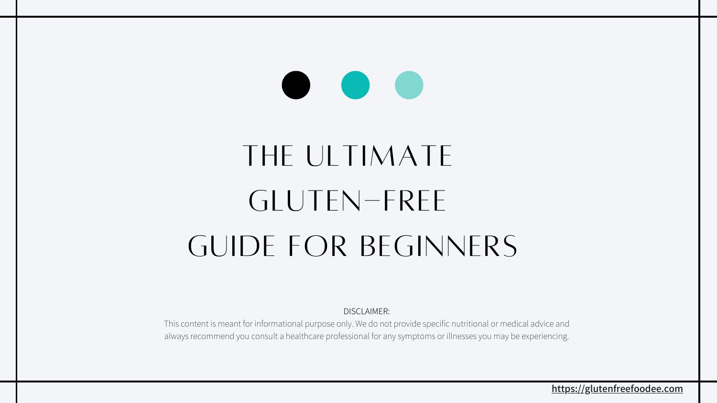**[https://glutenfreefoodee.com](https://glutenfreefoodee.com/)**

# THE ULTIMATE GLUTEN-FREE GUIDE FOR BEGINNERS

DISCLAIMER:

This content is meant for informational purpose only. We do not provide specific nutritional or medical advice and always recommend you consult a healthcare professional for any symptoms or illnesses you may be experiencing.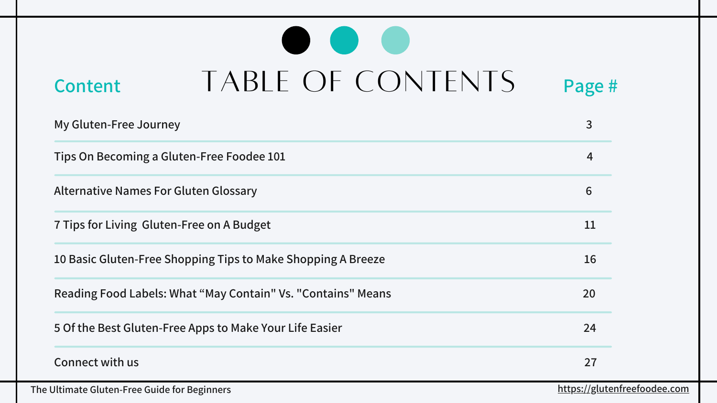**The Ultimate Gluten-Free Guide for Beginners [https://glutenfreefoodee.com](https://glutenfreefoodee.com/)**

| $\lceil \mathsf{S} \rceil$<br>$\overline{\phantom{1}}$ | Page #                  |
|--------------------------------------------------------|-------------------------|
|                                                        | 3                       |
|                                                        | $\overline{\mathbf{4}}$ |
|                                                        | 6                       |
|                                                        | 11                      |
|                                                        | 16                      |
|                                                        | 20                      |
|                                                        | 24                      |
|                                                        | 27                      |

# Content TABLE OF CONTENTS Page #

**My Gluten-Free Journey 3**

**Tips On Becoming a Gluten-Free Foodee 101 4**

**[Alternative Names For Gluten Glossary](https://glutenfreefoodee.com/7-tips-for-living-gluten-free-on-a-budget/) 6**

**[7 Tips for Living Gluten-Free on A Budget](https://glutenfreefoodee.com/7-tips-for-living-gluten-free-on-a-budget/)** 

**[10 Basic Gluten-Free Shopping Tips to Make Shopping A Breeze](https://glutenfreefoodee.com/7-tips-for-living-gluten-free-on-a-budget/) 16**

**[Reading Food Labels: What "May Contain" Vs.](https://glutenfreefoodee.com/7-tips-for-living-gluten-free-on-a-budget/) "[Contains" Means](https://glutenfreefoodee.com/7-tips-for-living-gluten-free-on-a-budget/) 20**

**[5 Of the Best Gluten-Free Apps to Make Your Life Easier](https://glutenfreefoodee.com/7-tips-for-living-gluten-free-on-a-budget/) 24**

**Connect with us**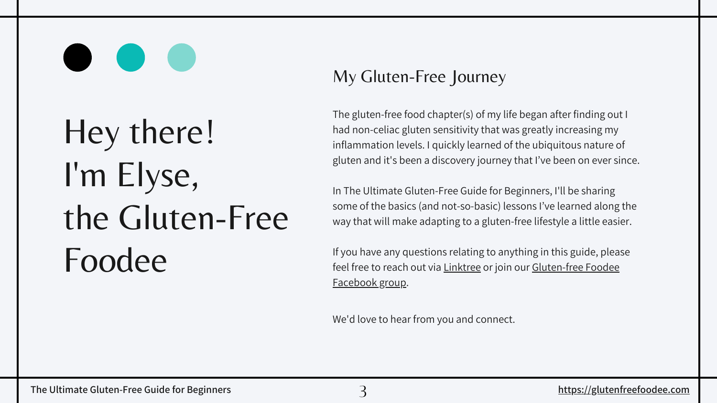# Hey there! I'm Elyse, the Gluten-Free Foodee

### My Gluten-Free Journey

The gluten-free food chapter(s) of my life began after finding out I had non-celiac gluten sensitivity that was greatly increasing my inflammation levels. I quickly learned of the ubiquitous nature of gluten and it's been a discovery journey that I've been on ever since.

In The Ultimate Gluten-Free Guide for Beginners, I'll be sharing some of the basics (and not-so-basic) lessons I've learned along the way that will make adapting to a gluten-free lifestyle a little easier.

If you have any questions relating to anything in this guide, please [feel free to reach out via L](https://m.facebook.com/groups/1093929974438823?group_view_referrer=search)[inktree](https://linktr.ee/Gluten_Free_Foodee) [or join our Gluten-free Foodee](https://m.facebook.com/groups/1093929974438823?group_view_referrer=search) Facebook group.

We'd love to hear from you and connect.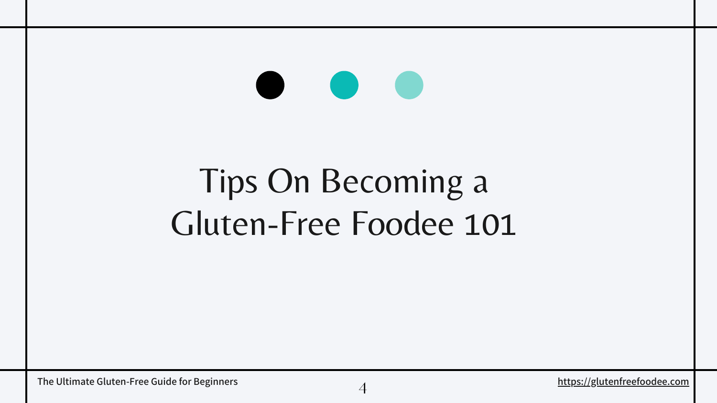## Tips On Becoming a Gluten-Free Foodee 101

**rightly in the Ultimate Gluten-Free Guide for Beginners** and the state of the state of the Ultimate Glutenfreefoodee.com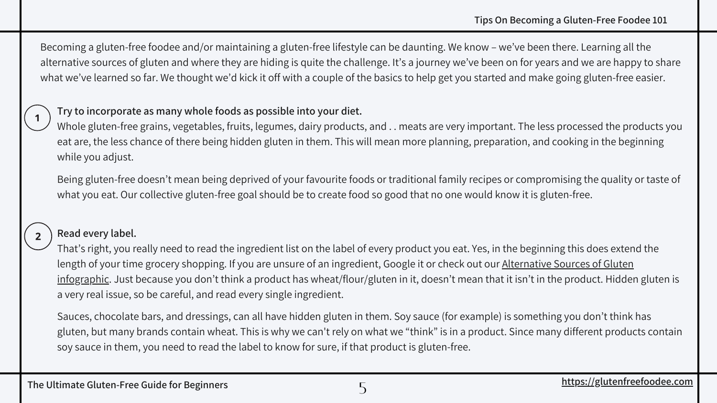#### **Try to incorporate as many whole foods as possible into your diet.**

Whole gluten-free grains, vegetables, fruits, legumes, dairy products, and . . meats are very important. The less processed the products you eat are, the less chance of there being hidden gluten in them. This will mean more planning, preparation, and cooking in the beginning while you adjust.

Being gluten-free doesn't mean being deprived of your favourite foods or traditional family recipes or compromising the quality or taste of what you eat. Our collective gluten-free goal should be to create food so good that no one would know it is gluten-free.



### **Read every label.**

That's right, you really need to read the ingredient list on the label of every product you eat. Yes, in the beginning this does extend the length of your time grocery shopping. If you are unsure of an ingredient, Google it or check out our Alternative Sources of Gluten [infographic. Just because you don't think a product has wheat/flour/gluten in it, doesn't mean that it isn't in the product. Hidden](https://glutenfreefoodee.com/wp-content/uploads/GFF-Alternative-Sources-of-Gluten-Infographic.png) gluten is a very real issue, so be careful, and read every single ingredient.

Sauces, chocolate bars, and dressings, can all have hidden gluten in them. Soy sauce (for example) is something you don't think has gluten, but many brands contain wheat. This is why we can't rely on what we "think" is in a product. Since many different products contain soy sauce in them, you need to read the label to know for sure, if that product is gluten-free.

Becoming a gluten-free foodee and/or maintaining a gluten-free lifestyle can be daunting. We know – we've been there. Learning all the [alternative sources of gluten](https://glutenfreefoodee.com/wp-content/uploads/GFF-Alternative-Sources-of-Gluten-Infographic.png) and where they are hiding is quite the challenge. It's a journey we've been on for years and we are happy to share what we've learned so far. We thought we'd kick it off with a couple of the basics to help get you started and make going gluten-free easier.

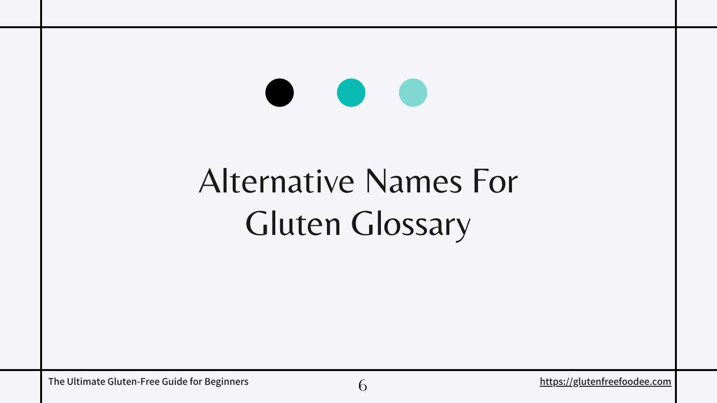### **CONTRACTOR**

## [Alternative Names For](https://glutenfreefoodee.com/7-tips-for-living-gluten-free-on-a-budget/) Gluten Glossary

The Ultimate Gluten-Free Guide for Beginners **1996 [https://glutenfreefoodee.com](https://glutenfreefoodee.com/)**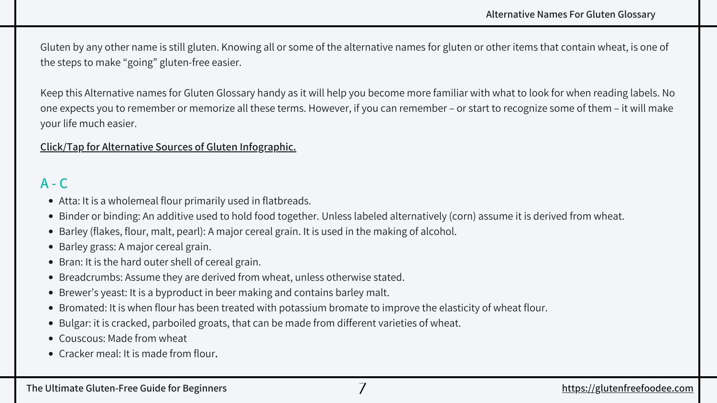- Atta: It is a wholemeal flour primarily used in flatbreads.
- Binder or binding: An additive used to hold food together. Unless labeled alternatively (corn) assume it is derived from wheat.
- Barley (flakes, flour, malt, pearl): A major cereal grain. It is used in the making of alcohol.
- Barley grass: A major cereal grain.
- Bran: It is the hard outer shell of cereal grain.
- Breadcrumbs: Assume they are derived from wheat, unless otherwise stated.
- Brewer's yeast: It is a byproduct in beer making and contains barley malt.
- Bromated: It is when flour has been treated with potassium bromate to improve the elasticity of wheat flour.
- Bulgar: it is cracked, parboiled groats, that can be made from different varieties of wheat.
- Couscous: Made from wheat
- Cracker meal: It is made from flour**.**

### **A - C**

Gluten by any other name is still gluten. Knowing all or some of the alternative names for gluten or other items that contain wheat, is one of the steps to make "going" gluten-free easier.

Keep this Alternative names for Gluten Glossary handy as it will help you become more familiar with what to look for when reading labels. No one expects you to remember or memorize all these terms. However, if you can remember – or start to recognize some of them – it will make your life much easier.

### **[Click/Tap for Alternative Sources of Gluten Infographic.](https://glutenfreefoodee.com/wp-content/uploads/GFF-Alternative-Sources-of-Gluten-Infographic.png)**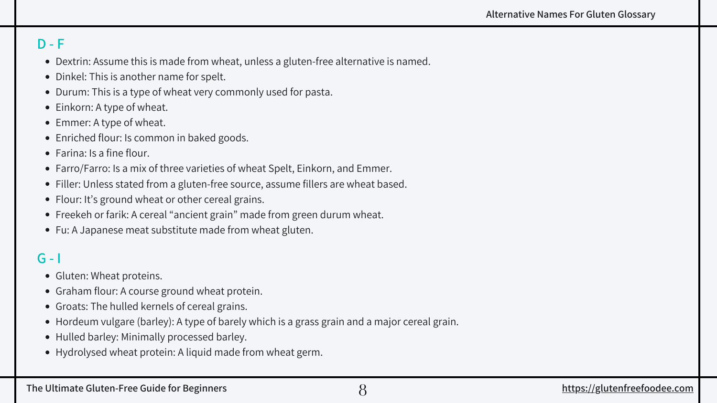- Dextrin: Assume this is made from wheat, unless a gluten-free alternative is named.
- Dinkel: This is another name for spelt.
- Durum: This is a type of wheat very commonly used for pasta.
- Einkorn: A type of wheat.
- Emmer: A type of wheat.
- Enriched flour: Is common in baked goods.
- Farina: Is a fine flour.
- Farro/Farro: Is a mix of three varieties of wheat Spelt, Einkorn, and Emmer.
- Filler: Unless stated from a gluten-free source, assume fillers are wheat based.
- Flour: It's ground wheat or other cereal grains.
- Freekeh or farik: A cereal "ancient grain" made from green durum wheat.
- Fu: A Japanese meat substitute made from wheat gluten.

### **D - F**

**[https://glutenfreefoodee.com](https://glutenfreefoodee.com/)**

- Gluten: Wheat proteins.
- Graham flour: A course ground wheat protein.
- Groats: The hulled kernels of cereal grains.
- Hordeum vulgare (barley): A type of barely which is a grass grain and a major cereal grain.
- Hulled barley: Minimally processed barley.
- Hydrolysed wheat protein: A liquid made from wheat germ.

### **G - I**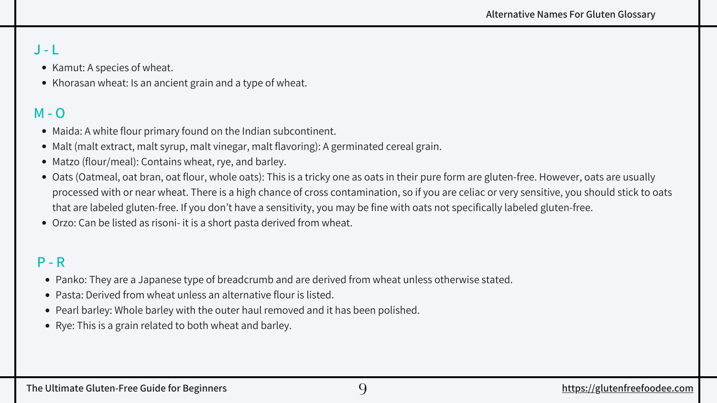### **J - L**

- Kamut: A species of wheat.
- Khorasan wheat: Is an ancient grain and a type of wheat.

- Maida: A white flour primary found on the Indian subcontinent.
- Malt (malt extract, malt syrup, malt vinegar, malt flavoring): A germinated cereal grain.
- Matzo (flour/meal): Contains wheat, rye, and barley.
- Oats (Oatmeal, oat bran, oat flour, whole oats): This is a tricky one as oats in their pure form are gluten-free. However, oats are usually processed with or near wheat. There is a high chance of cross contamination, so if you are celiac or very sensitive, you should stick to oats that are labeled gluten-free. If you don't have a sensitivity, you may be fine with oats not specifically labeled gluten-free.
- Orzo: Can be listed as risoni- it is a short pasta derived from wheat.

### **M - O**

- Panko: They are a Japanese type of breadcrumb and are derived from wheat unless otherwise stated.
- Pasta: Derived from wheat unless an alternative flour is listed.
- Pearl barley: Whole barley with the outer haul removed and it has been polished.
- Rye: This is a grain related to both wheat and barley.

### **P - R**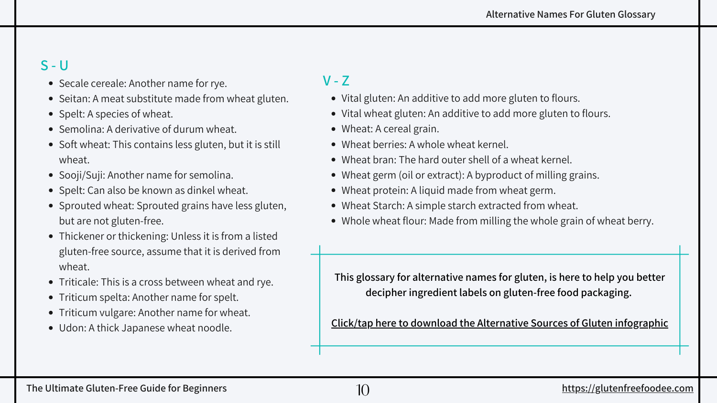- Secale cereale: Another name for rye.
- Seitan: A meat substitute made from wheat gluten.
- Spelt: A species of wheat.
- Semolina: A derivative of durum wheat.
- Soft wheat: This contains less gluten, but it is still wheat.
- Sooji/Suji: Another name for semolina.
- Spelt: Can also be known as dinkel wheat.
- Sprouted wheat: Sprouted grains have less gluten, but are not gluten-free.
- Thickener or thickening: Unless it is from a listed gluten-free source, assume that it is derived from wheat.
- Triticale: This is a cross between wheat and rye.
- Triticum spelta: Another name for spelt.
- Triticum vulgare: Another name for wheat.
- Udon: A thick Japanese wheat noodle.

### **S - U**

- 
- Vital gluten: An additive to add more gluten to flours. Vital wheat gluten: An additive to add more gluten to flours.
- Wheat: A cereal grain.
- Wheat berries: A whole wheat kernel.
- Wheat bran: The hard outer shell of a wheat kernel.
- Wheat germ (oil or extract): A byproduct of milling grains.
- Wheat protein: A liquid made from wheat germ.
- Wheat Starch: A simple starch extracted from wheat.
- Whole wheat flour: Made from milling the whole grain of wheat berry.

### **V - Z**

**This glossary for alternative names for gluten, is here to help you better decipher ingredient labels on gluten-free food packaging.** 

**[Click/tap here to download the Alternative Sources of Gluten infographic](https://glutenfreefoodee.com/wp-content/uploads/GFF-Alternative-Sources-of-Gluten-Infographic.png)**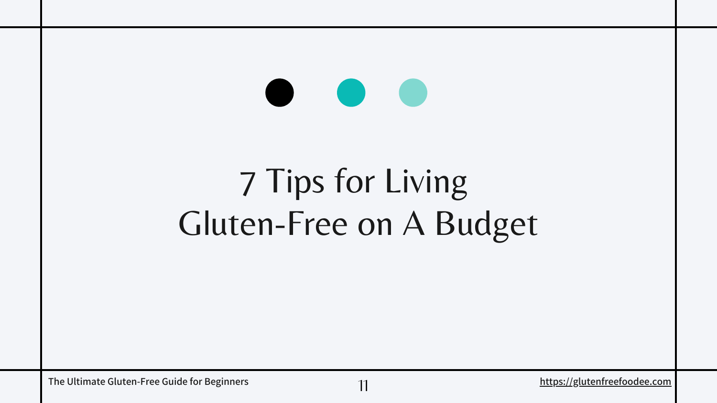# [7 Tips for Living](https://glutenfreefoodee.com/7-tips-for-living-gluten-free-on-a-budget/)  [Gluten-Free on A Budget](https://glutenfreefoodee.com/7-tips-for-living-gluten-free-on-a-budget/)

11

The Ultimate Gluten-Free Guide for Beginners and the material of the Ultimate Gluten-Free Guide for Beginners and the material of the Ultimate Glutenfreefoodee.com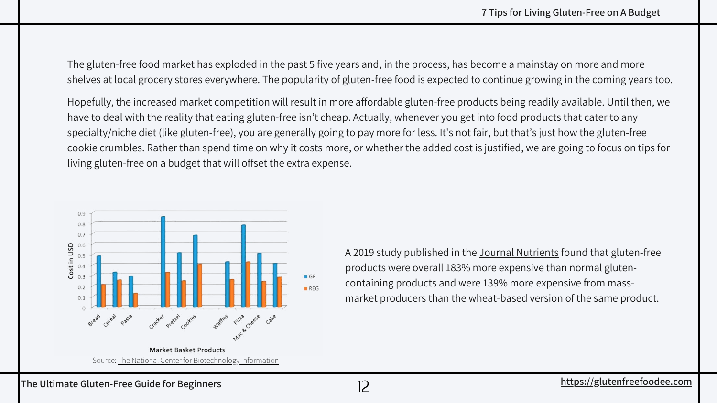The gluten-free food market has exploded in the past 5 five years and, in the process, has become a mainstay on more and more shelves at local grocery stores everywhere. The popularity of gluten-free food is expected to continue growing in the coming years too.

Hopefully, the increased market competition will result in more affordable gluten-free products being readily available. Until then, we have to deal with the reality that eating gluten-free isn't cheap. Actually, whenever you get into food products that cater to any specialty/niche diet (like gluten-free), you are generally going to pay more for less. It's not fair, but that's just how the gluten-free cookie crumbles. Rather than spend time on why it costs more, or whether the added cost is justified, we are going to focus on tips for living gluten-free on a budget that will offset the extra expense.

> A 2019 study published in the [Journal Nutrients](https://pubmed.ncbi.nlm.nih.gov/30769836/) found that gluten-free products were overall 183% more expensive than normal glutencontaining products and were 139% more expensive from massmarket producers than the wheat-based version of the same product.

**The Ultimate Gluten-Free Guide for Beginners** 12

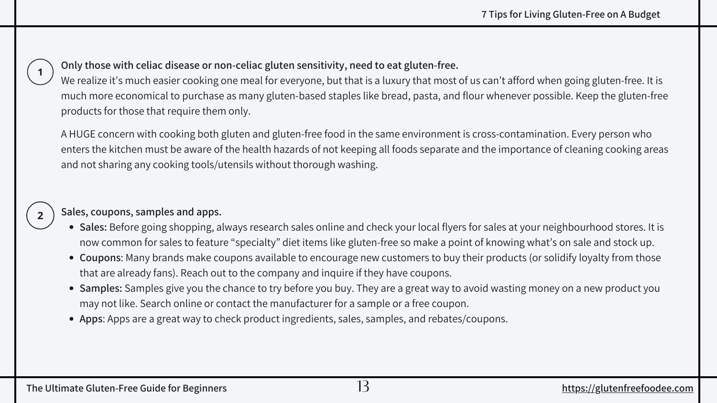- **Sales:** Before going shopping, always research sales online and check your local flyers for sales at your neighbourhood stores. It is now common for sales to feature "specialty" diet items like gluten-free so make a point of knowing what's on sale and stock up.
- **Coupons**: Many brands make coupons available to encourage new customers to buy their products (or solidify loyalty from those that are already fans). Reach out to the company and inquire if they have coupons.
- **Samples:** Samples give you the chance to try before you buy. They are a great way to avoid wasting money on a new product you may not like. Search online or contact the manufacturer for a sample or a free coupon.
- **Apps**: Apps are a great way to check product ingredients, sales, samples, and rebates/coupons.

#### **Sales, coupons, samples and apps.**

**Only those with celiac disease or non-celiac gluten sensitivity, need to eat gluten-free.** We realize it's much easier cooking one meal for everyone, but that is a luxury that most of us can't afford when going gluten-free. It is much more economical to purchase as many gluten-based staples like bread, pasta, and flour whenever possible. Keep the gluten-free products for those that require them only.

A HUGE concern with cooking both gluten and gluten-free food in the same environment is cross-contamination. Every person who enters the kitchen must be aware of the health hazards of not keeping all foods separate and the importance of cleaning cooking areas and not sharing any cooking tools/utensils without thorough washing.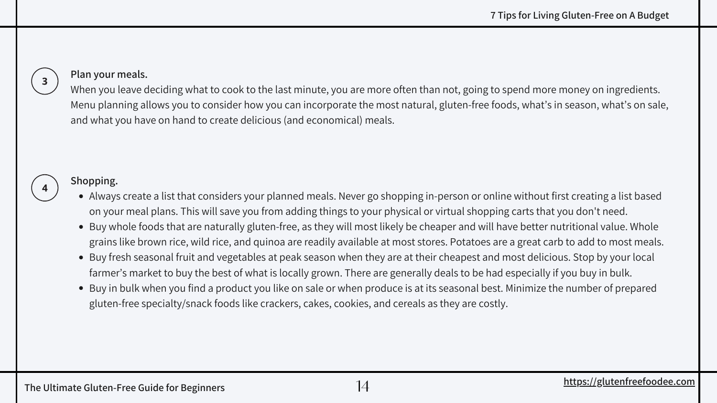- Always create a list that considers your planned meals. Never go shopping in-person or online without first creating a list based on your meal plans. This will save you from adding things to your physical or virtual shopping carts that you don't need.
- Buy whole foods that are naturally gluten-free, as they will most likely be cheaper and will have better nutritional value. Whole grains like brown rice, wild rice, and quinoa are readily available at most stores. Potatoes are a great carb to add to most meals.
- Buy fresh seasonal fruit and vegetables at peak season when they are at their cheapest and most delicious. Stop by your local farmer's market to buy the best of what is locally grown. There are generally deals to be had especially if you buy in bulk.
- Buy in bulk when you find a product you like on sale or when produce is at its seasonal best. Minimize the number of prepared gluten-free specialty/snack foods like crackers, cakes, cookies, and cereals as they are costly.

#### **Shopping.**

#### **Plan your meals.**

When you leave deciding what to cook to the last minute, you are more often than not, going to spend more money on ingredients. Menu planning allows you to consider how you can incorporate the most natural, gluten-free foods, what's in season, what's on sale, and what you have on hand to create delicious (and economical) meals.



 $\mathbf{3}$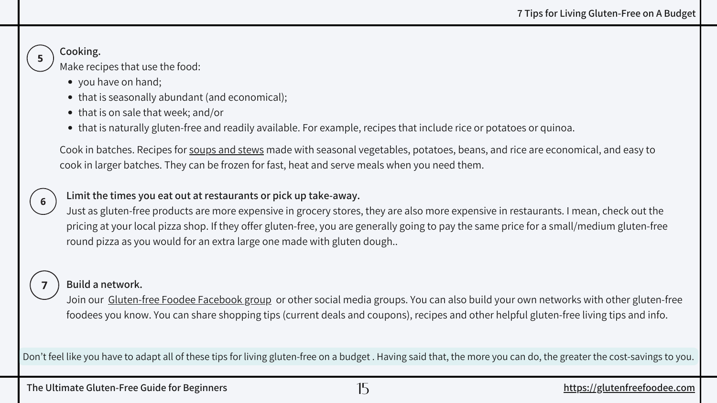#### **Limit the times you eat out at restaurants or pick up take-away.**

Just as gluten-free products are more expensive in grocery stores, they are also more expensive in restaurants. I mean, check out the pricing at your local pizza shop. If they offer gluten-free, you are generally going to pay the same price for a small/medium gluten-free round pizza as you would for an extra large one made with gluten dough..



Join our [Gluten-free Foodee Facebook group or other social media groups](https://m.facebook.com/groups/1093929974438823?group_view_referrer=search). You can also build your own networks with other gluten-free foodees you know. You can share shopping tips (current deals and coupons), recipes and other helpful [gluten-free living tips](https://glutenfreefoodee.com/category/living-gluten-free/gluten-free-food-tips/) and info.

#### **Build a network.**

Cook in batches. Recipes for [soups and stews](https://glutenfreefoodee.com/category/gluten-free-recipes/courses/soups-and-stews/) made with seasonal vegetables, potatoes, beans, and rice are economical, and easy to cook in larger batches. They can be frozen for fast, heat and serve meals when you need them.

- you have on hand;
- that is seasonally abundant (and economical);
- that is on sale that week; and/or
- that is naturally gluten-free and readily available. For example, recipes that include rice or potatoes or quinoa.

### **Cooking.**

Make recipes that use the food:

Don't feel like you have to adapt all of these tips for living gluten-free on a budget . Having said that, the more you can do, the greater the cost-savings to you.

The Ultimate Gluten-Free Guide for Beginners and the Ultimate Gluten-Free Guide for Beginners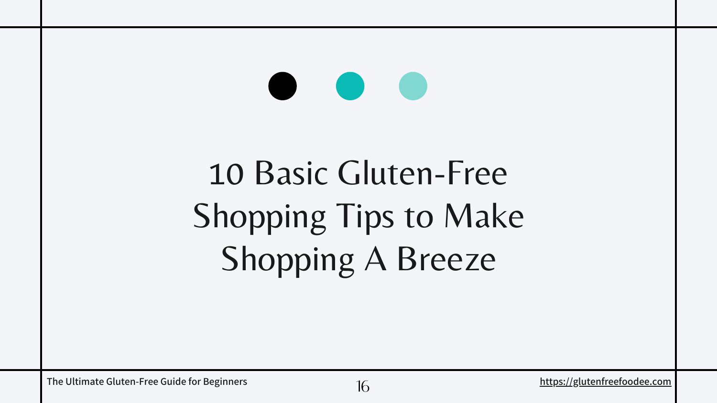# 10 Basic Gluten-Free [Shopping Tips to Make](https://glutenfreefoodee.com/7-tips-for-living-gluten-free-on-a-budget/) Shopping A Breeze

The Ultimate Gluten-Free Guide for Beginners and the material of the Ultimate Glutenfreefoodee.com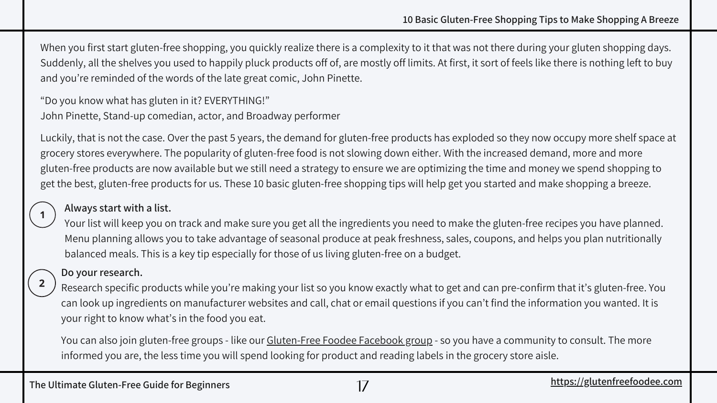#### **Always start with a list.**

Your list will keep you on track and make sure you get all the ingredients you need to make the [gluten-free recipes](https://glutenfreefoodee.com/gluten-free-recipe-index/) you have planned. Menu planning allows you to take advantage of seasonal produce at peak freshness, sales, coupons, and helps you plan nutritionally balanced meals. This is a key tip especially for those of us [living gluten-free on a budget](https://glutenfreefoodee.com/7-tips-for-living-gluten-free-on-a-budget/).

#### **[10 Basic Gluten-Free Shopping Tips to Make Shopping A Breeze](https://glutenfreefoodee.com/7-tips-for-living-gluten-free-on-a-budget/)**

When you first start gluten-free shopping, you quickly realize there is a complexity to it that was not there during your gluten shopping days. Suddenly, all the shelves you used to happily pluck products off of, are mostly off limits. At first, it sort of feels like there is nothing left to buy and you're reminded of the words of the late great comic, [John Pinette](https://en.wikipedia.org/wiki/John_Pinette).

"Do you know what has gluten in it? EVERYTHING!" John Pinette, Stand-up comedian, actor, and Broadway performer

You can also join [gluten-free groups - like our Gluten-Free Foodee Facebook group](https://m.facebook.com/groups/1093929974438823?group_view_referrer=search) - so you have a community to consult. The more informed you are, the less time you will spend looking for product and reading labels in the grocery store aisle.

Luckily, that is not the case. Over the past 5 years, the demand for gluten-free products has exploded so they now occupy more shelf space at grocery stores everywhere. The popularity of gluten-free food is not slowing down either. With the increased demand, more and more gluten-free products are now available but we still need a strategy to ensure we are optimizing the time and money we spend shopping to get the best, gluten-free products for us. These 10 basic gluten-free shopping tips will help get you started and make shopping a breeze.

#### **Do your research.**

Research specific products while you're making your list so you know exactly what to get and can pre-confirm that it's gluten-free. You can look up ingredients on manufacturer websites and call, chat or email questions if you can't find the information you wanted. It is your right to know what's in the food you eat.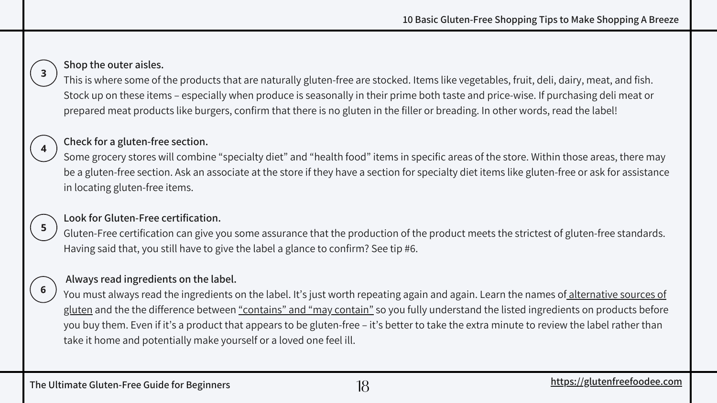#### **Check for a gluten-free section.**

Some grocery stores will combine "specialty diet" and "health food" items in specific areas of the store. Within those areas, there may be a gluten-free section. Ask an associate at the store if they have a section for specialty diet items like gluten-free or ask for assistance in locating gluten-free items.

#### **Look for Gluten-Free certification.**

 $5<sub>1</sub>$ 

6

Gluten-Free certification can give you some assurance that the production of the product meets the strictest of gluten-free standards. Having said that, you still have to give the label a glance to confirm? See tip #6.

[You must always read the ingredients on the label. It's just worth repeating again and again. Learn the names of alternative sources of](https://glutenfreefoodee.com/alternative-names-for-gluten-glossary/) glute[n a](https://glutenfreefoodee.com/alternative-names-for-gluten-glossary/)nd the the difference between ["contains" and "may contain"](https://glutenfreefoodee.com/reading-food-labels-what-may-contain-vs-contains-means/) so you fully understand the listed ingredients on products before you buy them. Even if it's a product that appears to be gluten-free – it's better to take the extra minute to review the label rather than take it home and potentially make yourself or a loved one feel ill.

#### **Always read ingredients on the label.**

#### **Shop the outer aisles.**

This is where some of the products that are naturally gluten-free are stocked. Items like vegetables, fruit, deli, dairy, meat, and fish. Stock up on these items – especially when produce is seasonally in their prime both taste and price-wise. If purchasing deli meat or prepared meat products like burgers, confirm that there is no gluten in the filler or breading. In other words, read the label!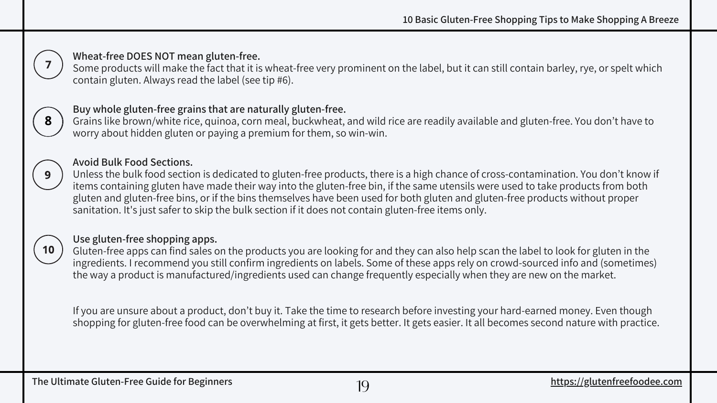Some products will make the fact that it is wheat-free very prominent on the label, but it can still contain barley, rye, or spelt which



Grains like brown/white rice, quinoa, corn meal, buckwheat, and wild rice are readily available and gluten-free. You don't have to

Unless the bulk food section is dedicated to gluten-free products, there is a high chance of cross-contamination. You don't know if items containing gluten have made their way into the gluten-free bin, if the same utensils were used to take products from both gluten and gluten-free bins, or if the bins themselves have been used for both gluten and gluten-free products without proper sanitation. It's just safer to skip the bulk section if it does not contain gluten-free items only.

#### **Use gluten-free shopping apps.**

[Gluten-free apps](https://glutenfreefoodee.com/5-of-the-best-gluten-free-apps-to-make-your-life-easier/) can find sales on the products you are looking for and they can also help scan the label to look for gluten in the ingredients. I recommend you still confirm ingredients on labels. Some of these apps rely on crowd-sourced info and (sometimes) the way a product is manufactured/ingredients used can change frequently especially when they are new on the market.

If you are unsure about a product, don't buy it. Take the time to research before investing your hard-earned money. Even though shopping for gluten-free food can be overwhelming at first, it gets better. It gets easier. It all becomes second nature with practice.

**8**

9

**10**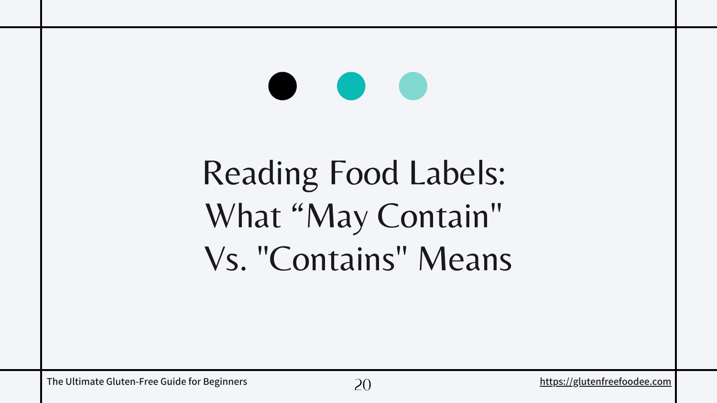# [Reading Food Labels:](https://glutenfreefoodee.com/7-tips-for-living-gluten-free-on-a-budget/)  [What "May Contain"](https://glutenfreefoodee.com/7-tips-for-living-gluten-free-on-a-budget/)  [Vs.](https://glutenfreefoodee.com/7-tips-for-living-gluten-free-on-a-budget/) ["Contains" Means](https://glutenfreefoodee.com/7-tips-for-living-gluten-free-on-a-budget/)

The Ultimate Gluten-Free Guide for Beginners **1996** 20 and 20 and 20 and 20 and 20 and 20 and 20 and 20 and 20 and 20 and 20 and 20 and 20 and 20 and 20 and 20 and 20 and 20 and 20 and 20 and 20 and 20 and 20 and 20 and 20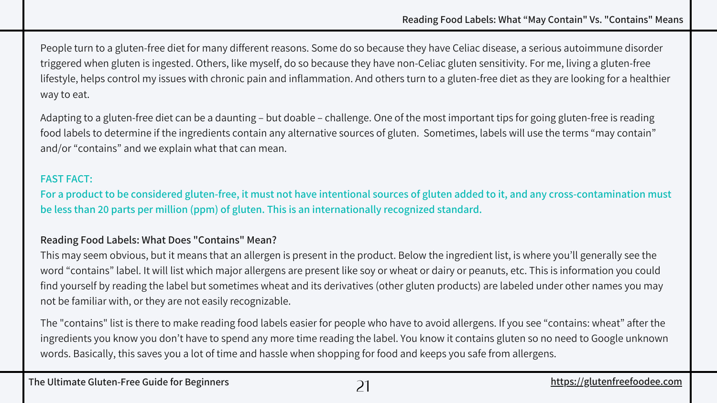#### **[Reading Food Labels: What "May Contain" Vs. "Contains" Means](https://glutenfreefoodee.com/7-tips-for-living-gluten-free-on-a-budget/)**

People turn to a gluten-free diet for many different reasons. Some do so because they have Celiac disease, a serious autoimmune disorder triggered when gluten is ingested. Others, [like myself,](https://glutenfreefoodee.com/about/) do so because they have non-Celiac gluten sensitivity. For me, living a gluten-free lifestyle, helps control my issues with chronic pain and inflammation. And others turn to a gluten-free diet as they are looking for a healthier way to eat.

Adapting to a gluten-free diet can be a daunting – but doable – challenge. One of the most important [tips for going gluten-free](https://glutenfreefoodee.com/tips-on-becoming-a-gluten-free-foodee-101/) is reading food labels to determine if the ingredients contain any [alternative sources of](https://glutenfreefoodee.com/alternative-names-for-gluten-glossary/) gluten. Sometimes, labels will use the terms "may contain" and/or "contains" and we explain what that can mean.

#### **FAST FACT:**

**For a product to be considered gluten-free, it must not have intentional sources of gluten added to it, and any cross-contamination must be less than 20 parts per million (ppm) of gluten. This is an internationally recognized standard.**

#### **Reading Food Labels: What Does "Contains" Mean?**

This may seem obvious, but it means that an allergen is present in the product. Below the ingredient list, is where you'll generally see the word "contains" label. It will list which major allergens are present like soy or wheat or dairy or peanuts, etc. This is information you could find yourself by reading the label but sometimes wheat and its derivatives (other gluten products) are labeled under other names you may not be familiar with, or they are not easily recognizable.

The "contains" list is there to make reading food labels easier for people who have to avoid allergens. If you see "contains: wheat" after the ingredients you know you don't have to spend any more time reading the label. You know it contains gluten so no need to Google unknown words. Basically, this saves you a lot of time and hassle when shopping for food and keeps you safe from allergens.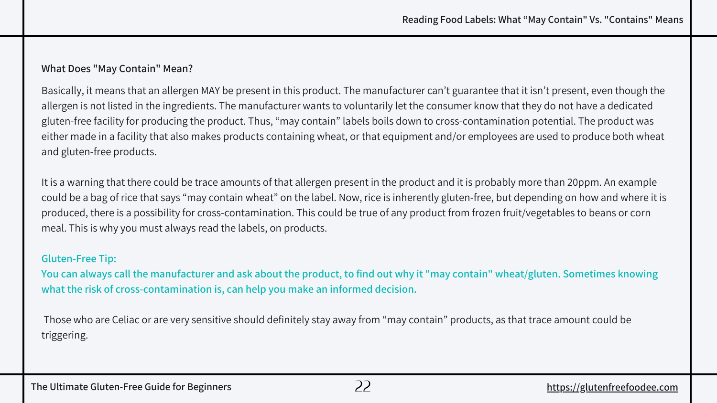#### **What Does "May Contain" Mean?**

Basically, it means that an allergen MAY be present in this product. The manufacturer can't guarantee that it isn't present, even though the allergen is not listed in the ingredients. The manufacturer wants to voluntarily let the consumer know that they do not have a dedicated gluten-free facility for producing the product. Thus, "may contain" labels boils down to cross-contamination potential. The product was either made in a facility that also makes products containing wheat, or that equipment and/or employees are used to produce both wheat and gluten-free products.

It is a warning that there could be trace amounts of that allergen present in the product and it is probably more than 20ppm. An example could be a bag of rice that says "may contain wheat" on the label. Now, rice is inherently gluten-free, but depending on how and where it is produced, there is a possibility for cross-contamination. This could be true of any product from frozen fruit/vegetables to beans or corn meal. This is why you must always read the labels, on products.

#### **Gluten-Free Tip:**

**You can always call the manufacturer and ask about the product, to find out why it "may contain" wheat/gluten. Sometimes knowing what the risk of cross-contamination is, can help you make an informed decision.**

 Those who are Celiac or are very sensitive should definitely stay away from "may contain" products, as that trace amount could be triggering.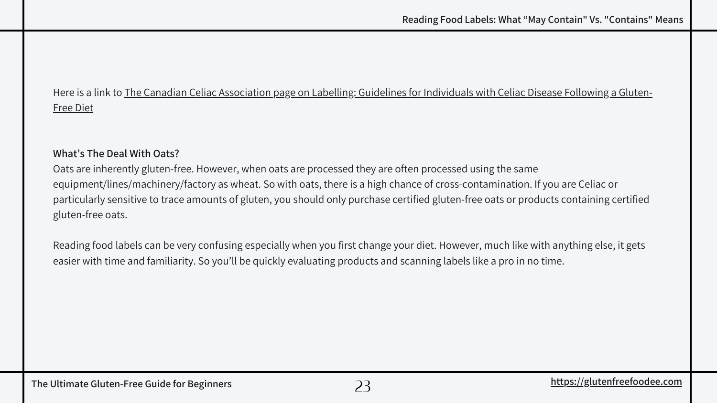### [Here is a link to The Canadian Celiac Association page on Labelling: Guidelines for Individuals with Celiac Disease Following a Gluten-](https://www.celiac.ca/wp-content/uploads/2020/11/CCA-Labelling-Document-w-ref-Feb-20-2020-FINAL.pdf)Free Diet

#### **What's The Deal With Oats?**

Oats are inherently gluten-free. However, when oats are processed they are often processed using the same equipment/lines/machinery/factory as wheat. So with oats, there is a high chance of cross-contamination. If you are Celiac or particularly sensitive to trace amounts of gluten, you should only purchase certified gluten-free oats or products containing certified gluten-free oats.

Reading food labels can be very confusing especially when you first change your diet. However, much like with anything else, it gets easier with time and familiarity. So you'll be quickly evaluating products and scanning labels like a pro in no time.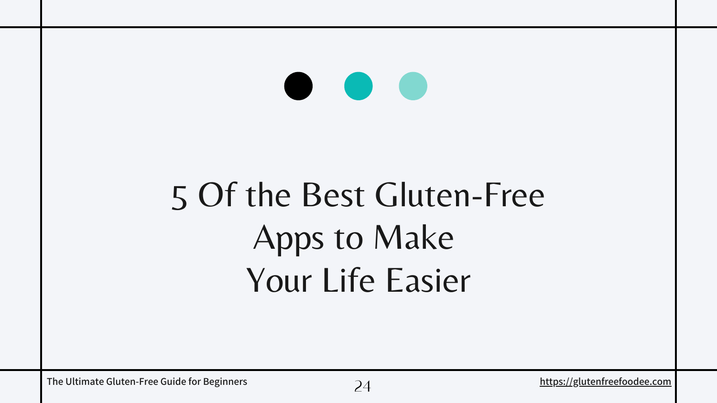# [5 Of the Best Gluten-Free](https://glutenfreefoodee.com/7-tips-for-living-gluten-free-on-a-budget/) Apps to Make [Your Life Easier](https://glutenfreefoodee.com/7-tips-for-living-gluten-free-on-a-budget/)

 **for Beginners** *[https://glutenfreefoodee.com](https://glutenfreefoodee.com/)* **https://glutenfreefoodee.com**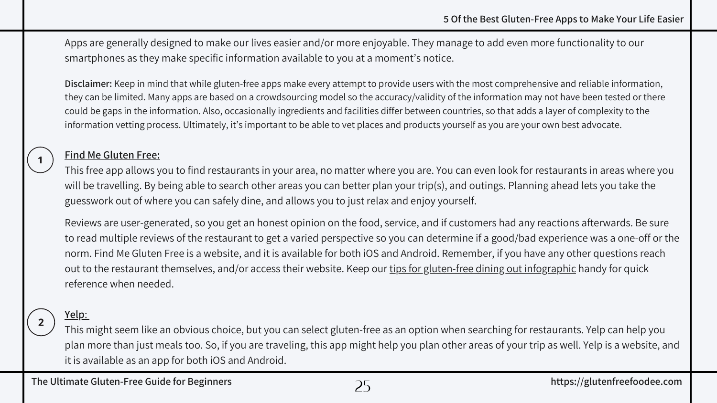Apps are generally designed to make our lives easier and/or more enjoyable. They manage to add even more functionality to our smartphones as they make specific information available to you at a moment's notice.

**Disclaimer:** Keep in mind that while gluten-free apps make every attempt to provide users with the most comprehensive and reliable information, they can be limited. Many apps are based on a crowdsourcing model so the accuracy/validity of the information may not have been tested or there could be gaps in the information. Also, occasionally ingredients and facilities differ between countries, so that adds a layer of complexity to the information vetting process. Ultimately, it's important to be able to vet places and products yourself as you are your own best advocate.

#### **[Find Me Gluten Free:](https://www.findmeglutenfree.com/)**

This free app allows you to find restaurants in your area, no matter where you are. You can even look for restaurants in areas where you will be travelling. By being able to search other areas you can better plan your trip(s), and outings. Planning ahead lets you take the guesswork out of where you can safely dine, and allows you to just relax and enjoy yourself.

Reviews are user-generated, so you get an honest opinion on the food, service, and if customers had any reactions afterwards. Be sure to read multiple reviews of the restaurant to get a varied perspective so you can determine if a good/bad experience was a one-off or the norm. Find Me Gluten Free is a website, and it is available for both iOS and Android. Remember, if you have any other questions reach out to the restaurant themselves, and/or access their website. Keep our [tips for gluten-free dining out infographic](https://glutenfreefoodee.com/wp-content/uploads/6-tips-for-dining-out-gluten-free-infographic.pdf) handy for quick reference when needed.

#### **[Yelp](https://www.yelp.ca/)**[:](https://www.yelp.ca/)

This might seem like an obvious choice, but you can select gluten-free as an option when searching for restaurants. Yelp can help you plan more than just meals too. So, if you are traveling, this app might help you plan other areas of your trip as well. Yelp is a website, and it is available as an app for both iOS and Android.

25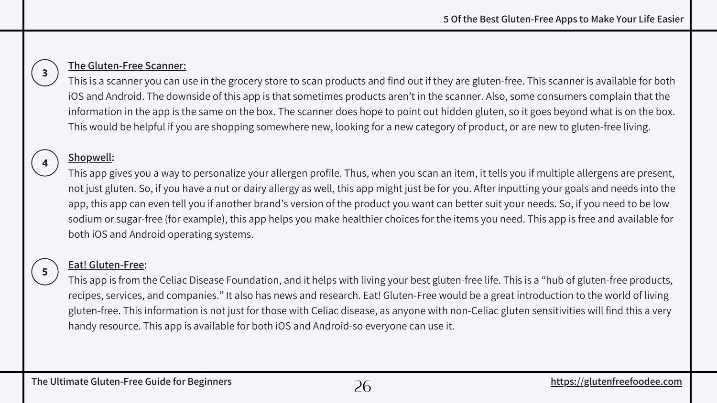### $3<sup>1</sup>$

#### **[The Gluten-Free Scanner:](https://apps.apple.com/us/app/the-gluten-free-scanner/id969482476)**

This is a scanner you can use in the grocery store to scan products and find out if they are gluten-free. This scanner is available for both iOS and Android. The downside of this app is that sometimes products aren't in the scanner. Also, some consumers complain that the information in the app is the same on the box. The scanner does hope to point out [hidden gluten](https://glutenfreefoodee.com/alternative-names-for-gluten-glossary/), so it goes beyond what is on the box. This would be helpful if you are shopping somewhere new, looking for a new category of product, or are new to gluten-free living.

#### **[Shopwell:](https://www.innit.com/shopwell/)**

This app gives you a way to personalize your allergen profile. Thus, when you scan an item, it tells you if multiple allergens are present, not just gluten. So, if you have a nut or dairy allergy as well, this app might just be for you. After inputting your goals and needs into the app, this app can even tell you if another brand's version of the product you want can better suit your needs. So, if you need to be low sodium or sugar-free (for example), this app helps you make healthier choices for the items you need. This app is free and available for both iOS and Android operating systems.

### $5<sup>1</sup>$

#### **[Eat! Gluten-Free](https://apps.apple.com/us/app/gluten-free-allergy-free-marketplace/id982065331)[:](https://celiac.org/eat-gluten-free/)**

This app is from the Celiac Disease Foundation, and it helps with living your best gluten-free life. This is a "hub of gluten-free products, recipes, services, and companies." It also has news and research. Eat! Gluten-Free would be a great introduction to the world of living gluten-free. This information is not just for those with Celiac disease, as anyone with non-Celiac gluten sensitivities will find this a very handy resource. This app is available for both iOS and Android-so everyone can use it.